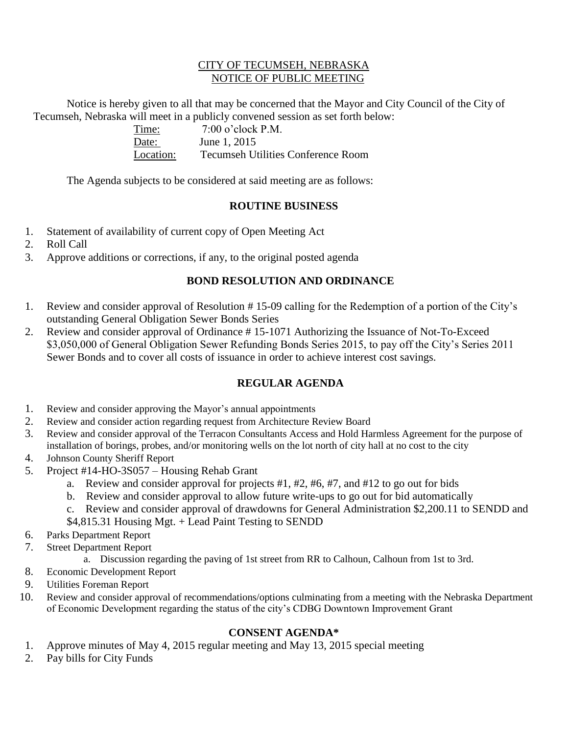### CITY OF TECUMSEH, NEBRASKA NOTICE OF PUBLIC MEETING

Notice is hereby given to all that may be concerned that the Mayor and City Council of the City of Tecumseh, Nebraska will meet in a publicly convened session as set forth below:

| Time:     | $7:00$ o'clock P.M.                |
|-----------|------------------------------------|
| Date:     | June 1, 2015                       |
| Location: | Tecumseh Utilities Conference Room |

The Agenda subjects to be considered at said meeting are as follows:

## **ROUTINE BUSINESS**

- 1. Statement of availability of current copy of Open Meeting Act
- 2. Roll Call
- 3. Approve additions or corrections, if any, to the original posted agenda

## **BOND RESOLUTION AND ORDINANCE**

- 1. Review and consider approval of Resolution # 15-09 calling for the Redemption of a portion of the City's outstanding General Obligation Sewer Bonds Series
- 2. Review and consider approval of Ordinance # 15-1071 Authorizing the Issuance of Not-To-Exceed \$3,050,000 of General Obligation Sewer Refunding Bonds Series 2015, to pay off the City's Series 2011 Sewer Bonds and to cover all costs of issuance in order to achieve interest cost savings.

# **REGULAR AGENDA**

- 1. Review and consider approving the Mayor's annual appointments
- 2. Review and consider action regarding request from Architecture Review Board
- 3. Review and consider approval of the Terracon Consultants Access and Hold Harmless Agreement for the purpose of installation of borings, probes, and/or monitoring wells on the lot north of city hall at no cost to the city
- 4. Johnson County Sheriff Report
- 5. Project #14-HO-3S057 Housing Rehab Grant
	- a. Review and consider approval for projects #1, #2, #6, #7, and #12 to go out for bids
	- b. Review and consider approval to allow future write-ups to go out for bid automatically
	- c. Review and consider approval of drawdowns for General Administration \$2,200.11 to SENDD and
	- \$4,815.31 Housing Mgt. + Lead Paint Testing to SENDD
- 6. Parks Department Report
- 7. Street Department Report
	- a. Discussion regarding the paving of 1st street from RR to Calhoun, Calhoun from 1st to 3rd.
- 8. Economic Development Report
- 9. Utilities Foreman Report
- 10. Review and consider approval of recommendations/options culminating from a meeting with the Nebraska Department of Economic Development regarding the status of the city's CDBG Downtown Improvement Grant

## **CONSENT AGENDA\***

- 1. Approve minutes of May 4, 2015 regular meeting and May 13, 2015 special meeting
- 2. Pay bills for City Funds